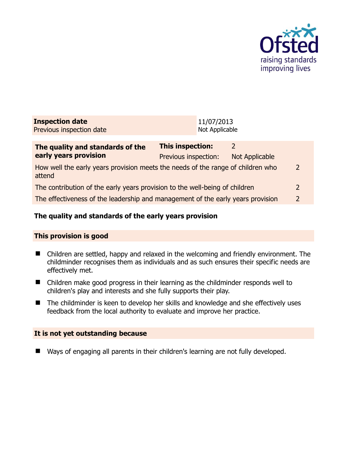

| <b>Inspection date</b><br>Previous inspection date | 11/07/2013<br>Not Applicable |
|----------------------------------------------------|------------------------------|
|                                                    |                              |
|                                                    |                              |

| The quality and standards of the                                                          | This inspection:     |                |                |
|-------------------------------------------------------------------------------------------|----------------------|----------------|----------------|
| early years provision                                                                     | Previous inspection: | Not Applicable |                |
| How well the early years provision meets the needs of the range of children who<br>attend |                      |                | $\overline{2}$ |
| The contribution of the early years provision to the well-being of children               |                      |                | 2              |
| The effectiveness of the leadership and management of the early years provision           |                      |                | $\overline{2}$ |
|                                                                                           |                      |                |                |

## **The quality and standards of the early years provision**

### **This provision is good**

- Children are settled, happy and relaxed in the welcoming and friendly environment. The childminder recognises them as individuals and as such ensures their specific needs are effectively met.
- Children make good progress in their learning as the childminder responds well to children's play and interests and she fully supports their play.
- The childminder is keen to develop her skills and knowledge and she effectively uses feedback from the local authority to evaluate and improve her practice.

## **It is not yet outstanding because**

■ Ways of engaging all parents in their children's learning are not fully developed.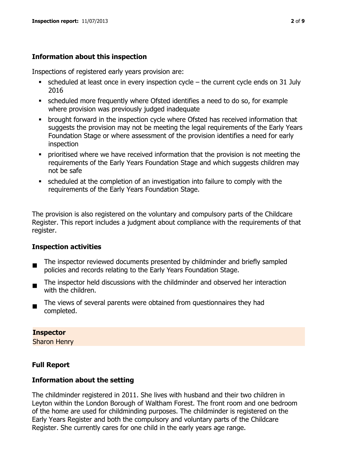## **Information about this inspection**

Inspections of registered early years provision are:

- scheduled at least once in every inspection cycle the current cycle ends on 31 July 2016
- scheduled more frequently where Ofsted identifies a need to do so, for example where provision was previously judged inadequate
- **•** brought forward in the inspection cycle where Ofsted has received information that suggests the provision may not be meeting the legal requirements of the Early Years Foundation Stage or where assessment of the provision identifies a need for early inspection
- **•** prioritised where we have received information that the provision is not meeting the requirements of the Early Years Foundation Stage and which suggests children may not be safe
- scheduled at the completion of an investigation into failure to comply with the requirements of the Early Years Foundation Stage.

The provision is also registered on the voluntary and compulsory parts of the Childcare Register. This report includes a judgment about compliance with the requirements of that register.

## **Inspection activities**

- $\blacksquare$ The inspector reviewed documents presented by childminder and briefly sampled policies and records relating to the Early Years Foundation Stage.
- The inspector held discussions with the childminder and observed her interaction with the children.
- The views of several parents were obtained from questionnaires they had completed.

## **Inspector**

Sharon Henry

## **Full Report**

## **Information about the setting**

The childminder registered in 2011. She lives with husband and their two children in Leyton within the London Borough of Waltham Forest. The front room and one bedroom of the home are used for childminding purposes. The childminder is registered on the Early Years Register and both the compulsory and voluntary parts of the Childcare Register. She currently cares for one child in the early years age range.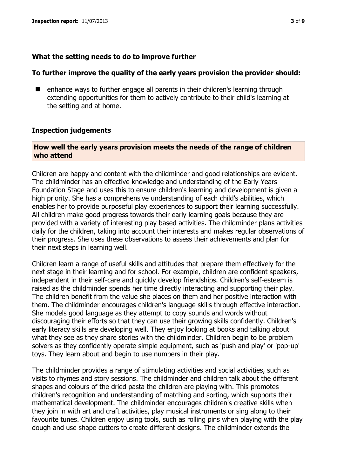## **What the setting needs to do to improve further**

### **To further improve the quality of the early years provision the provider should:**

■ enhance ways to further engage all parents in their children's learning through extending opportunities for them to actively contribute to their child's learning at the setting and at home.

### **Inspection judgements**

## **How well the early years provision meets the needs of the range of children who attend**

Children are happy and content with the childminder and good relationships are evident. The childminder has an effective knowledge and understanding of the Early Years Foundation Stage and uses this to ensure children's learning and development is given a high priority. She has a comprehensive understanding of each child's abilities, which enables her to provide purposeful play experiences to support their learning successfully. All children make good progress towards their early learning goals because they are provided with a variety of interesting play based activities. The childminder plans activities daily for the children, taking into account their interests and makes regular observations of their progress. She uses these observations to assess their achievements and plan for their next steps in learning well.

Children learn a range of useful skills and attitudes that prepare them effectively for the next stage in their learning and for school. For example, children are confident speakers, independent in their self-care and quickly develop friendships. Children's self-esteem is raised as the childminder spends her time directly interacting and supporting their play. The children benefit from the value she places on them and her positive interaction with them. The childminder encourages children's language skills through effective interaction. She models good language as they attempt to copy sounds and words without discouraging their efforts so that they can use their growing skills confidently. Children's early literacy skills are developing well. They enjoy looking at books and talking about what they see as they share stories with the childminder. Children begin to be problem solvers as they confidently operate simple equipment, such as 'push and play' or 'pop-up' toys. They learn about and begin to use numbers in their play.

The childminder provides a range of stimulating activities and social activities, such as visits to rhymes and story sessions. The childminder and children talk about the different shapes and colours of the dried pasta the children are playing with. This promotes children's recognition and understanding of matching and sorting, which supports their mathematical development. The childminder encourages children's creative skills when they join in with art and craft activities, play musical instruments or sing along to their favourite tunes. Children enjoy using tools, such as rolling pins when playing with the play dough and use shape cutters to create different designs. The childminder extends the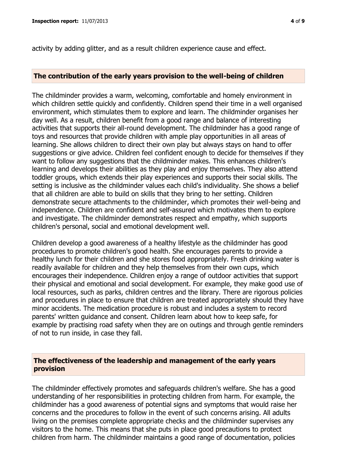#### **The contribution of the early years provision to the well-being of children**

The childminder provides a warm, welcoming, comfortable and homely environment in which children settle quickly and confidently. Children spend their time in a well organised environment, which stimulates them to explore and learn. The childminder organises her day well. As a result, children benefit from a good range and balance of interesting activities that supports their all-round development. The childminder has a good range of toys and resources that provide children with ample play opportunities in all areas of learning. She allows children to direct their own play but always stays on hand to offer suggestions or give advice. Children feel confident enough to decide for themselves if they want to follow any suggestions that the childminder makes. This enhances children's learning and develops their abilities as they play and enjoy themselves. They also attend toddler groups, which extends their play experiences and supports their social skills. The setting is inclusive as the childminder values each child's individuality. She shows a belief that all children are able to build on skills that they bring to her setting. Children demonstrate secure attachments to the childminder, which promotes their well-being and independence. Children are confident and self-assured which motivates them to explore and investigate. The childminder demonstrates respect and empathy, which supports children's personal, social and emotional development well.

Children develop a good awareness of a healthy lifestyle as the childminder has good procedures to promote children's good health. She encourages parents to provide a healthy lunch for their children and she stores food appropriately. Fresh drinking water is readily available for children and they help themselves from their own cups, which encourages their independence. Children enjoy a range of outdoor activities that support their physical and emotional and social development. For example, they make good use of local resources, such as parks, children centres and the library. There are rigorous policies and procedures in place to ensure that children are treated appropriately should they have minor accidents. The medication procedure is robust and includes a system to record parents' written guidance and consent. Children learn about how to keep safe, for example by practising road safety when they are on outings and through gentle reminders of not to run inside, in case they fall.

#### **The effectiveness of the leadership and management of the early years provision**

The childminder effectively promotes and safeguards children's welfare. She has a good understanding of her responsibilities in protecting children from harm. For example, the childminder has a good awareness of potential signs and symptoms that would raise her concerns and the procedures to follow in the event of such concerns arising. All adults living on the premises complete appropriate checks and the childminder supervises any visitors to the home. This means that she puts in place good precautions to protect children from harm. The childminder maintains a good range of documentation, policies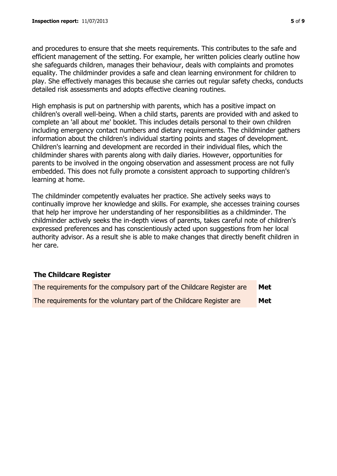and procedures to ensure that she meets requirements. This contributes to the safe and efficient management of the setting. For example, her written policies clearly outline how she safeguards children, manages their behaviour, deals with complaints and promotes equality. The childminder provides a safe and clean learning environment for children to play. She effectively manages this because she carries out regular safety checks, conducts detailed risk assessments and adopts effective cleaning routines.

High emphasis is put on partnership with parents, which has a positive impact on children's overall well-being. When a child starts, parents are provided with and asked to complete an 'all about me' booklet. This includes details personal to their own children including emergency contact numbers and dietary requirements. The childminder gathers information about the children's individual starting points and stages of development. Children's learning and development are recorded in their individual files, which the childminder shares with parents along with daily diaries. However, opportunities for parents to be involved in the ongoing observation and assessment process are not fully embedded. This does not fully promote a consistent approach to supporting children's learning at home.

The childminder competently evaluates her practice. She actively seeks ways to continually improve her knowledge and skills. For example, she accesses training courses that help her improve her understanding of her responsibilities as a childminder. The childminder actively seeks the in-depth views of parents, takes careful note of children's expressed preferences and has conscientiously acted upon suggestions from her local authority advisor. As a result she is able to make changes that directly benefit children in her care.

### **The Childcare Register**

| The requirements for the compulsory part of the Childcare Register are | Met |
|------------------------------------------------------------------------|-----|
| The requirements for the voluntary part of the Childcare Register are  | Met |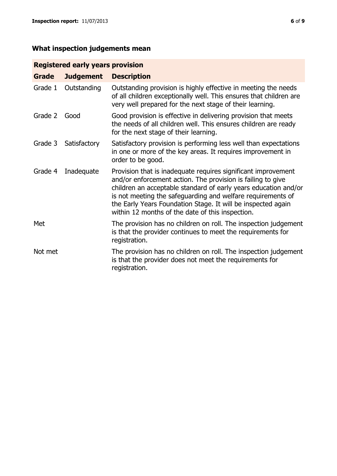# **What inspection judgements mean**

## **Registered early years provision**

| <b>Grade</b> | <b>Judgement</b> | <b>Description</b>                                                                                                                                                                                                                                                                                                                                                                 |
|--------------|------------------|------------------------------------------------------------------------------------------------------------------------------------------------------------------------------------------------------------------------------------------------------------------------------------------------------------------------------------------------------------------------------------|
| Grade 1      | Outstanding      | Outstanding provision is highly effective in meeting the needs<br>of all children exceptionally well. This ensures that children are<br>very well prepared for the next stage of their learning.                                                                                                                                                                                   |
| Grade 2      | Good             | Good provision is effective in delivering provision that meets<br>the needs of all children well. This ensures children are ready<br>for the next stage of their learning.                                                                                                                                                                                                         |
| Grade 3      | Satisfactory     | Satisfactory provision is performing less well than expectations<br>in one or more of the key areas. It requires improvement in<br>order to be good.                                                                                                                                                                                                                               |
| Grade 4      | Inadequate       | Provision that is inadequate requires significant improvement<br>and/or enforcement action. The provision is failing to give<br>children an acceptable standard of early years education and/or<br>is not meeting the safeguarding and welfare requirements of<br>the Early Years Foundation Stage. It will be inspected again<br>within 12 months of the date of this inspection. |
| Met          |                  | The provision has no children on roll. The inspection judgement<br>is that the provider continues to meet the requirements for<br>registration.                                                                                                                                                                                                                                    |
| Not met      |                  | The provision has no children on roll. The inspection judgement<br>is that the provider does not meet the requirements for<br>registration.                                                                                                                                                                                                                                        |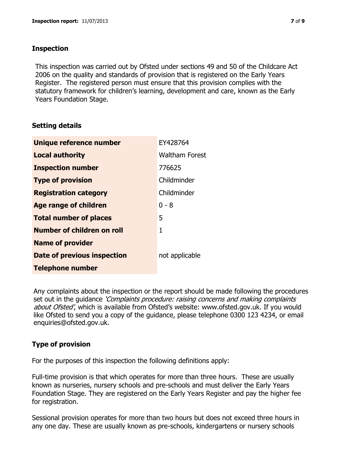## **Inspection**

This inspection was carried out by Ofsted under sections 49 and 50 of the Childcare Act 2006 on the quality and standards of provision that is registered on the Early Years Register. The registered person must ensure that this provision complies with the statutory framework for children's learning, development and care, known as the Early Years Foundation Stage.

## **Setting details**

| Unique reference number       | EY428764              |
|-------------------------------|-----------------------|
| <b>Local authority</b>        | <b>Waltham Forest</b> |
| <b>Inspection number</b>      | 776625                |
| <b>Type of provision</b>      | Childminder           |
| <b>Registration category</b>  | Childminder           |
| <b>Age range of children</b>  | $0 - 8$               |
| <b>Total number of places</b> | 5                     |
| Number of children on roll    | 1                     |
| <b>Name of provider</b>       |                       |
| Date of previous inspection   | not applicable        |
| <b>Telephone number</b>       |                       |

Any complaints about the inspection or the report should be made following the procedures set out in the guidance *'Complaints procedure: raising concerns and making complaints* about Ofsted', which is available from Ofsted's website: www.ofsted.gov.uk. If you would like Ofsted to send you a copy of the guidance, please telephone 0300 123 4234, or email enquiries@ofsted.gov.uk.

## **Type of provision**

For the purposes of this inspection the following definitions apply:

Full-time provision is that which operates for more than three hours. These are usually known as nurseries, nursery schools and pre-schools and must deliver the Early Years Foundation Stage. They are registered on the Early Years Register and pay the higher fee for registration.

Sessional provision operates for more than two hours but does not exceed three hours in any one day. These are usually known as pre-schools, kindergartens or nursery schools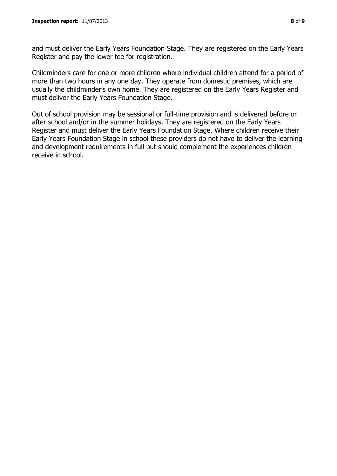and must deliver the Early Years Foundation Stage. They are registered on the Early Years Register and pay the lower fee for registration.

Childminders care for one or more children where individual children attend for a period of more than two hours in any one day. They operate from domestic premises, which are usually the childminder's own home. They are registered on the Early Years Register and must deliver the Early Years Foundation Stage.

Out of school provision may be sessional or full-time provision and is delivered before or after school and/or in the summer holidays. They are registered on the Early Years Register and must deliver the Early Years Foundation Stage. Where children receive their Early Years Foundation Stage in school these providers do not have to deliver the learning and development requirements in full but should complement the experiences children receive in school.